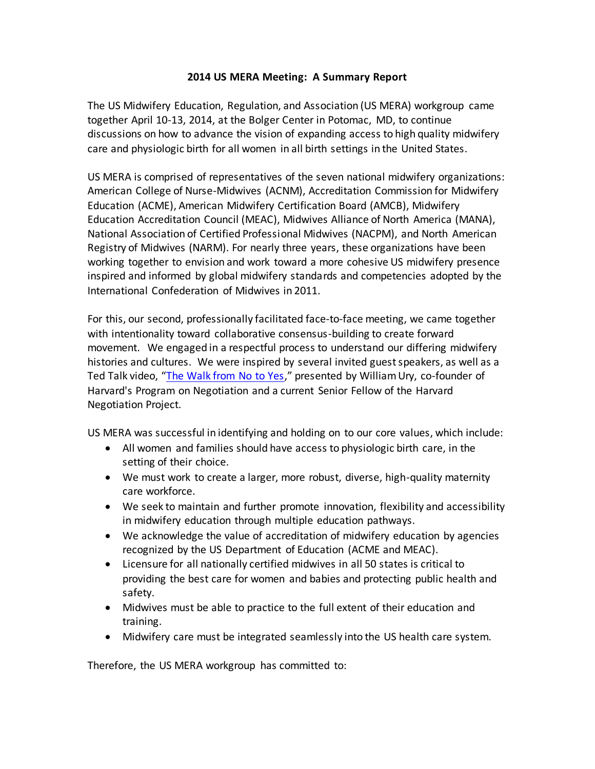## **2014 US MERA Meeting: A Summary Report**

The US Midwifery Education, Regulation, and Association (US MERA) workgroup came together April 10-13, 2014, at the Bolger Center in Potomac, MD, to continue discussions on how to advance the vision of expanding access to high quality midwifery care and physiologic birth for all women in all birth settings in the United States.

US MERA is comprised of representatives of the seven national midwifery organizations: American College of Nurse-Midwives (ACNM), Accreditation Commission for Midwifery Education (ACME), American Midwifery Certification Board (AMCB), Midwifery Education Accreditation Council (MEAC), Midwives Alliance of North America (MANA), National Association of Certified Professional Midwives (NACPM), and North American Registry of Midwives (NARM). For nearly three years, these organizations have been working together to envision and work toward a more cohesive US midwifery presence inspired and informed by global midwifery standards and competencies adopted by the International Confederation of Midwives in 2011.

For this, our second, professionally facilitated face-to-face meeting, we came together with intentionality toward collaborative consensus-building to create forward movement. We engaged in a respectful process to understand our differing midwifery histories and cultures. We were inspired by several invited guest speakers, as well as a Ted Talk video, "[The Walk from No to Yes](http://www.ted.com/talks/william_ury)," presented by William Ury, co-founder of Harvard's Program on Negotiation and a current Senior Fellow of the Harvard Negotiation Project.

US MERA was successful in identifying and holding on to our core values, which include:

- All women and families should have access to physiologic birth care, in the setting of their choice.
- We must work to create a larger, more robust, diverse, high-quality maternity care workforce.
- We seek to maintain and further promote innovation, flexibility and accessibility in midwifery education through multiple education pathways.
- We acknowledge the value of accreditation of midwifery education by agencies recognized by the US Department of Education (ACME and MEAC).
- Licensure for all nationally certified midwives in all 50 states is critical to providing the best care for women and babies and protecting public health and safety.
- Midwives must be able to practice to the full extent of their education and training.
- Midwifery care must be integrated seamlessly into the US health care system.

Therefore, the US MERA workgroup has committed to: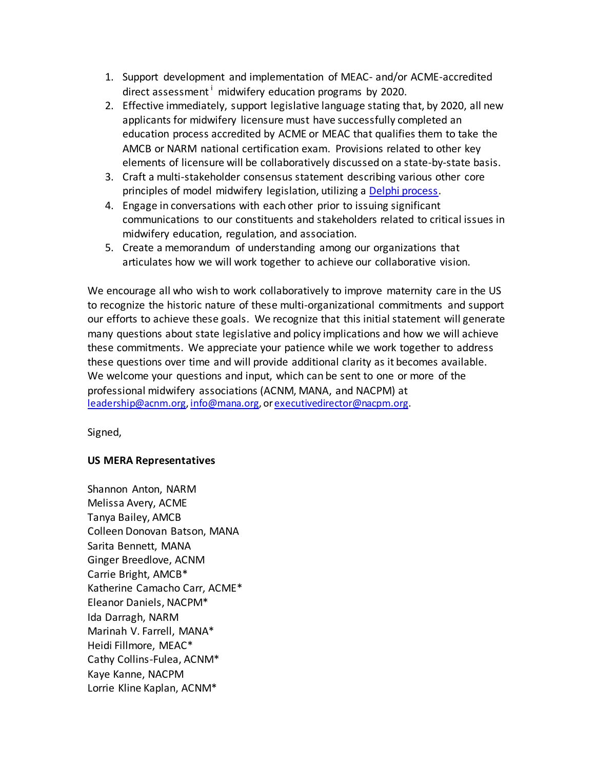- 1. Support development and implementation of MEAC- and/or ACME-accredited direct assessment<sup> $\,i$ </sup> midwifery education programs by 2020.
- 2. Effective immediately, support legislative language stating that, by 2020, all new applicants for midwifery licensure must have successfully completed an education process accredited by ACME or MEAC that qualifies them to take the AMCB or NARM national certification exam. Provisions related to other key elements of licensure will be collaboratively discussed on a state-by-state basis.
- 3. Craft a multi-stakeholder consensus statement describing various other core principles of model midwifery legislation, utilizing [a Delphi process.](http://en.wikipedia.org/wiki/Delphi_method)
- 4. Engage in conversations with each other prior to issuing significant communications to our constituents and stakeholders related to critical issues in midwifery education, regulation, and association.
- 5. Create a memorandum of understanding among our organizations that articulates how we will work together to achieve our collaborative vision.

We encourage all who wish to work collaboratively to improve maternity care in the US to recognize the historic nature of these multi-organizational commitments and support our efforts to achieve these goals. We recognize that this initial statement will generate many questions about state legislative and policy implications and how we will achieve these commitments. We appreciate your patience while we work together to address these questions over time and will provide additional clarity as it becomes available. We welcome your questions and input, which can be sent to one or more of the professional midwifery associations (ACNM, MANA, and NACPM) at [leadership@acnm.org](mailto:—leadership@acnm.org)[, info@mana.org](mailto:info@mana.org), o[r executivedirector@nacpm.org](mailto:executivedirector@nacpm.org).

Signed,

## **US MERA Representatives**

Shannon Anton, NARM Melissa Avery, ACME Tanya Bailey, AMCB Colleen Donovan Batson, MANA Sarita Bennett, MANA Ginger Breedlove, ACNM Carrie Bright, AMCB\* Katherine Camacho Carr, ACME\* Eleanor Daniels, NACPM\* Ida Darragh, NARM Marinah V. Farrell, MANA\* Heidi Fillmore, MEAC\* Cathy Collins-Fulea, ACNM\* Kaye Kanne, NACPM Lorrie Kline Kaplan, ACNM\*